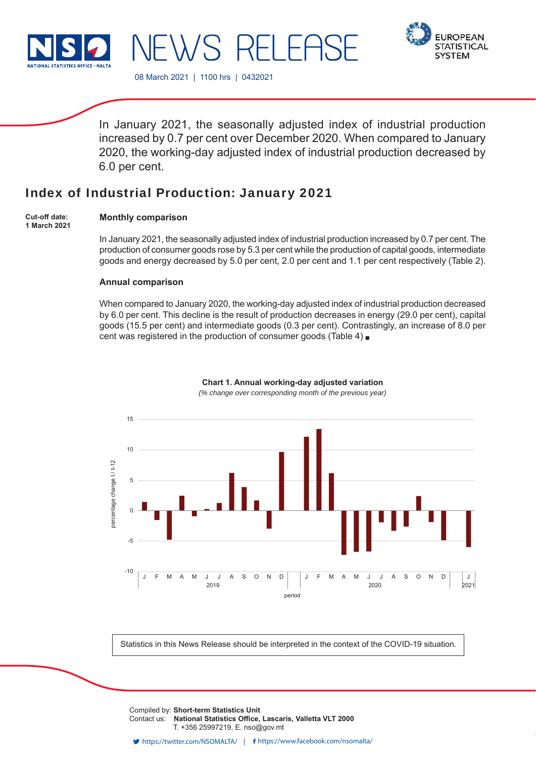

**FUROPEAN STATISTICAL SYSTEM** 

08 March 2021 | 1100 hrs | 0432021

 $\lambda/S$  RI

In January 2021, the seasonally adjusted index of industrial production increased by 0.7 per cent over December 2020. When compared to January 2020, the working-day adjusted index of industrial production decreased by 6.0 per cent.

-I Ff

# Index of Industrial Production: January 2021

**Cut-off date: 1 March 2021**

## **Monthly comparison**

In January 2021, the seasonally adjusted index of industrial production increased by 0.7 per cent. The production of consumer goods rose by 5.3 per cent while the production of capital goods, intermediate goods and energy decreased by 5.0 per cent, 2.0 per cent and 1.1 per cent respectively (Table 2).

## **Annual comparison**

When compared to January 2020, the working-day adjusted index of industrial production decreased by 6.0 per cent. This decline is the result of production decreases in energy (29.0 per cent), capital goods (15.5 per cent) and intermediate goods (0.3 per cent). Contrastingly, an increase of 8.0 per cent was registered in the production of consumer goods (Table 4)



**Chart 1. Annual working-day adjusted variation** *(% change over corresponding month of the previous year)*

Statistics in this News Release should be interpreted in the context of the COVID-19 situation.

Compiled by: **Short-term Statistics Unit** Contact us: National Statistics Office, Lascaris, Valletta VLT 2000 T. +356 25997219, E. nso@gov.mt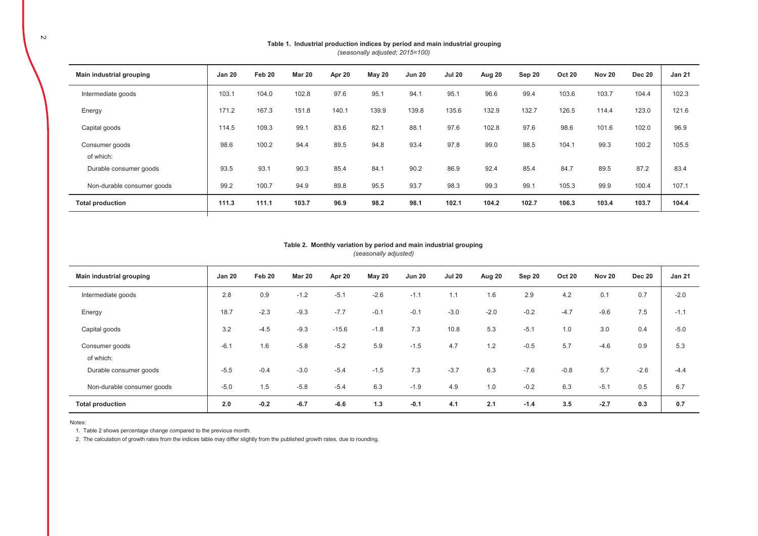| Main industrial grouping   | <b>Jan 20</b> | Feb 20 | <b>Mar 20</b> | Apr 20 | May 20 | <b>Jun 20</b> | <b>Jul 20</b> | Aug 20 | Sep 20 | <b>Oct 20</b> | Nov 20 | <b>Dec 20</b> | <b>Jan 21</b> |
|----------------------------|---------------|--------|---------------|--------|--------|---------------|---------------|--------|--------|---------------|--------|---------------|---------------|
| Intermediate goods         | 103.1         | 104.0  | 102.8         | 97.6   | 95.1   | 94.1          | 95.1          | 96.6   | 99.4   | 103.6         | 103.7  | 104.4         | 102.3         |
| Energy                     | 171.2         | 167.3  | 151.8         | 140.1  | 139.9  | 139.8         | 135.6         | 132.9  | 132.7  | 126.5         | 114.4  | 123.0         | 121.6         |
| Capital goods              | 114.5         | 109.3  | 99.1          | 83.6   | 82.1   | 88.1          | 97.6          | 102.8  | 97.6   | 98.6          | 101.6  | 102.0         | 96.9          |
| Consumer goods             | 98.6          | 100.2  | 94.4          | 89.5   | 94.8   | 93.4          | 97.8          | 99.0   | 98.5   | 104.1         | 99.3   | 100.2         | 105.5         |
| of which:                  |               |        |               |        |        |               |               |        |        |               |        |               |               |
| Durable consumer goods     | 93.5          | 93.1   | 90.3          | 85.4   | 84.1   | 90.2          | 86.9          | 92.4   | 85.4   | 84.7          | 89.5   | 87.2          | 83.4          |
| Non-durable consumer goods | 99.2          | 100.7  | 94.9          | 89.8   | 95.5   | 93.7          | 98.3          | 99.3   | 99.1   | 105.3         | 99.9   | 100.4         | 107.1         |
| <b>Total production</b>    | 111.3         | 111.1  | 103.7         | 96.9   | 98.2   | 98.1          | 102.1         | 104.2  | 102.7  | 106.3         | 103.4  | 103.7         | 104.4         |
|                            |               |        |               |        |        |               |               |        |        |               |        |               |               |

#### Table 1. Industrial production indices by period and main industrial grouping *(seasonally adjusted; 2015=100)*

#### *(seasonally adjusted)* Table 2. Monthly variation by period and main industrial grouping

| Main industrial grouping   | <b>Jan 20</b> | Feb 20 | <b>Mar 20</b> | Apr 20  | <b>May 20</b> | <b>Jun 20</b> | <b>Jul 20</b> | Aug 20 | Sep 20 | <b>Oct 20</b> | Nov 20 | <b>Dec 20</b> | <b>Jan 21</b> |
|----------------------------|---------------|--------|---------------|---------|---------------|---------------|---------------|--------|--------|---------------|--------|---------------|---------------|
| Intermediate goods         | 2.8           | 0.9    | $-1.2$        | $-5.1$  | $-2.6$        | $-1.1$        | 1.1           | 1.6    | 2.9    | 4.2           | 0.1    | 0.7           | $-2.0$        |
| Energy                     | 18.7          | $-2.3$ | $-9.3$        | $-7.7$  | $-0.1$        | $-0.1$        | $-3.0$        | $-2.0$ | $-0.2$ | $-4.7$        | $-9.6$ | 7.5           | $-1.1$        |
| Capital goods              | 3.2           | $-4.5$ | $-9.3$        | $-15.6$ | $-1.8$        | 7.3           | 10.8          | 5.3    | $-5.1$ | 1.0           | 3.0    | 0.4           | $-5.0$        |
| Consumer goods             | $-6.1$        | 1.6    | $-5.8$        | $-5.2$  | 5.9           | $-1.5$        | 4.7           | 1.2    | $-0.5$ | 5.7           | $-4.6$ | 0.9           | 5.3           |
| of which:                  |               |        |               |         |               |               |               |        |        |               |        |               |               |
| Durable consumer goods     | $-5.5$        | $-0.4$ | $-3.0$        | $-5.4$  | $-1.5$        | 7.3           | $-3.7$        | 6.3    | $-7.6$ | $-0.8$        | 5.7    | $-2.6$        | $-4.4$        |
| Non-durable consumer goods | $-5.0$        | 1.5    | $-5.8$        | $-5.4$  | 6.3           | $-1.9$        | 4.9           | 1.0    | $-0.2$ | 6.3           | $-5.1$ | 0.5           | 6.7           |
| <b>Total production</b>    | 2.0           | $-0.2$ | $-6.7$        | $-6.6$  | 1.3           | $-0.1$        | 4.1           | 2.1    | $-1.4$ | 3.5           | $-2.7$ | 0.3           | 0.7           |

Notes:

1. Table 2 shows percentage change compared to the previous month.

2. The calculation of growth rates from the indices table may differ slightly from the published growth rates, due to rounding.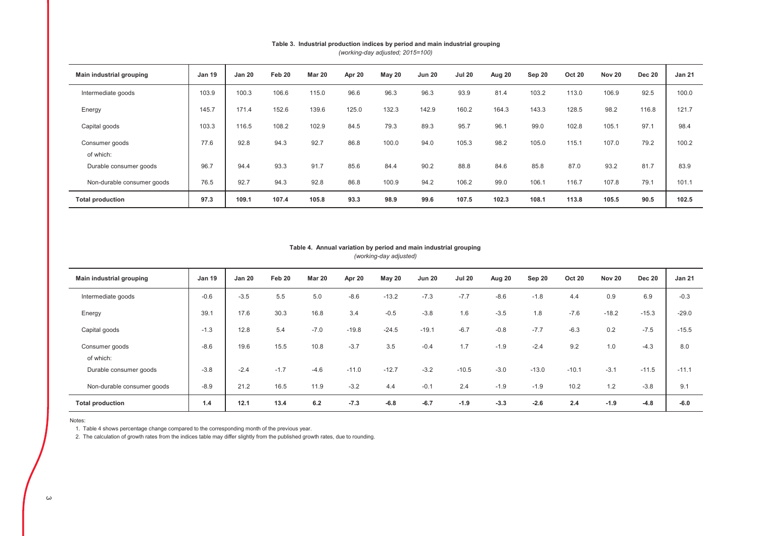| Main industrial grouping    | <b>Jan 19</b> | <b>Jan 20</b> | Feb 20 | <b>Mar 20</b> | Apr 20 | May 20 | <b>Jun 20</b> | <b>Jul 20</b> | Aug 20 | Sep 20 | <b>Oct 20</b> | <b>Nov 20</b> | <b>Dec 20</b> | <b>Jan 21</b> |
|-----------------------------|---------------|---------------|--------|---------------|--------|--------|---------------|---------------|--------|--------|---------------|---------------|---------------|---------------|
| Intermediate goods          | 103.9         | 100.3         | 106.6  | 115.0         | 96.6   | 96.3   | 96.3          | 93.9          | 81.4   | 103.2  | 113.0         | 106.9         | 92.5          | 100.0         |
| Energy                      | 145.7         | 171.4         | 152.6  | 139.6         | 125.0  | 132.3  | 142.9         | 160.2         | 164.3  | 143.3  | 128.5         | 98.2          | 116.8         | 121.7         |
| Capital goods               | 103.3         | 116.5         | 108.2  | 102.9         | 84.5   | 79.3   | 89.3          | 95.7          | 96.1   | 99.0   | 102.8         | 105.1         | 97.1          | 98.4          |
| Consumer goods<br>of which: | 77.6          | 92.8          | 94.3   | 92.7          | 86.8   | 100.0  | 94.0          | 105.3         | 98.2   | 105.0  | 115.1         | 107.0         | 79.2          | 100.2         |
| Durable consumer goods      | 96.7          | 94.4          | 93.3   | 91.7          | 85.6   | 84.4   | 90.2          | 88.8          | 84.6   | 85.8   | 87.0          | 93.2          | 81.7          | 83.9          |
| Non-durable consumer goods  | 76.5          | 92.7          | 94.3   | 92.8          | 86.8   | 100.9  | 94.2          | 106.2         | 99.0   | 106.1  | 116.7         | 107.8         | 79.1          | 101.1         |
| <b>Total production</b>     | 97.3          | 109.1         | 107.4  | 105.8         | 93.3   | 98.9   | 99.6          | 107.5         | 102.3  | 108.1  | 113.8         | 105.5         | 90.5          | 102.5         |

## Table 3. Industrial production indices by period and main industrial grouping

*(working-day adjusted; 2015=100)*

#### *(working-day adjusted)* Table 4. Annual variation by period and main industrial grouping

| Main industrial grouping    | <b>Jan 19</b> | <b>Jan 20</b> | Feb 20 | <b>Mar 20</b> | Apr 20  | May 20  | <b>Jun 20</b> | <b>Jul 20</b> | Aug 20 | Sep 20  | <b>Oct 20</b> | Nov 20  | <b>Dec 20</b> | <b>Jan 21</b> |
|-----------------------------|---------------|---------------|--------|---------------|---------|---------|---------------|---------------|--------|---------|---------------|---------|---------------|---------------|
| Intermediate goods          | $-0.6$        | $-3.5$        | 5.5    | 5.0           | $-8.6$  | $-13.2$ | $-7.3$        | $-7.7$        | $-8.6$ | $-1.8$  | 4.4           | 0.9     | 6.9           | $-0.3$        |
| Energy                      | 39.1          | 17.6          | 30.3   | 16.8          | 3.4     | $-0.5$  | $-3.8$        | 1.6           | $-3.5$ | 1.8     | $-7.6$        | $-18.2$ | $-15.3$       | $-29.0$       |
| Capital goods               | $-1.3$        | 12.8          | 5.4    | $-7.0$        | $-19.8$ | $-24.5$ | $-19.1$       | $-6.7$        | $-0.8$ | $-7.7$  | $-6.3$        | 0.2     | $-7.5$        | $-15.5$       |
| Consumer goods<br>of which: | $-8.6$        | 19.6          | 15.5   | 10.8          | $-3.7$  | 3.5     | $-0.4$        | 1.7           | $-1.9$ | $-2.4$  | 9.2           | 1.0     | $-4.3$        | 8.0           |
| Durable consumer goods      | $-3.8$        | $-2.4$        | $-1.7$ | $-4.6$        | $-11.0$ | $-12.7$ | $-3.2$        | $-10.5$       | $-3.0$ | $-13.0$ | $-10.1$       | $-3.1$  | $-11.5$       | $-11.1$       |
| Non-durable consumer goods  | $-8.9$        | 21.2          | 16.5   | 11.9          | $-3.2$  | 4.4     | $-0.1$        | 2.4           | $-1.9$ | $-1.9$  | 10.2          | 1.2     | $-3.8$        | 9.1           |
| <b>Total production</b>     | 1.4           | 12.1          | 13.4   | 6.2           | $-7.3$  | $-6.8$  | $-6.7$        | $-1.9$        | $-3.3$ | $-2.6$  | 2.4           | $-1.9$  | $-4.8$        | $-6.0$        |

Notes:

1. Table 4 shows percentage change compared to the corresponding month of the previous year.

2. The calculation of growth rates from the indices table may differ slightly from the published growth rates, due to rounding.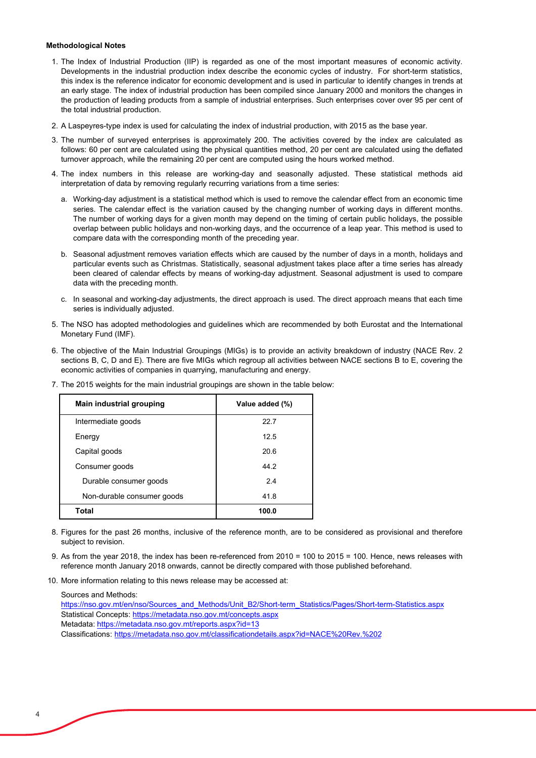### **Methodological Notes**

- 1. The Index of Industrial Production (IIP) is regarded as one of the most important measures of economic activity. Developments in the industrial production index describe the economic cycles of industry. For short-term statistics, this index is the reference indicator for economic development and is used in particular to identify changes in trends at an early stage. The index of industrial production has been compiled since January 2000 and monitors the changes in the production of leading products from a sample of industrial enterprises. Such enterprises cover over 95 per cent of the total industrial production.
- 2. A Laspeyres-type index is used for calculating the index of industrial production, with 2015 as the base year.
- 3. The number of surveyed enterprises is approximately 200. The activities covered by the index are calculated as follows: 60 per cent are calculated using the physical quantities method, 20 per cent are calculated using the deflated turnover approach, while the remaining 20 per cent are computed using the hours worked method.
- 4. The index numbers in this release are working-day and seasonally adjusted. These statistical methods aid interpretation of data by removing regularly recurring variations from a time series:
	- a. Working-day adjustment is a statistical method which is used to remove the calendar effect from an economic time series. The calendar effect is the variation caused by the changing number of working days in different months. The number of working days for a given month may depend on the timing of certain public holidays, the possible overlap between public holidays and non-working days, and the occurrence of a leap year. This method is used to compare data with the corresponding month of the preceding year.
	- b. Seasonal adjustment removes variation effects which are caused by the number of days in a month, holidays and particular events such as Christmas. Statistically, seasonal adjustment takes place after a time series has already been cleared of calendar effects by means of working-day adjustment. Seasonal adjustment is used to compare data with the preceding month.
	- c. In seasonal and working-day adjustments, the direct approach is used. The direct approach means that each time series is individually adjusted.
- 5. The NSO has adopted methodologies and guidelines which are recommended by both Eurostat and the International Monetary Fund (IMF).
- 6. The objective of the Main Industrial Groupings (MIGs) is to provide an activity breakdown of industry (NACE Rev. 2 sections B, C, D and E). There are five MIGs which regroup all activities between NACE sections B to E, covering the economic activities of companies in quarrying, manufacturing and energy.
- 7. The 2015 weights for the main industrial groupings are shown in the table below:

| Main industrial grouping   | Value added (%) |
|----------------------------|-----------------|
| Intermediate goods         | 22.7            |
| Energy                     | 12.5            |
| Capital goods              | 20.6            |
| Consumer goods             | 44.2            |
| Durable consumer goods     | 24              |
| Non-durable consumer goods | 41.8            |
| Total                      | 100.0           |

- 8. Figures for the past 26 months, inclusive of the reference month, are to be considered as provisional and therefore subject to revision.
- 9. As from the year 2018, the index has been re-referenced from 2010 = 100 to 2015 = 100. Hence, news releases with reference month January 2018 onwards, cannot be directly compared with those published beforehand.
- 10. More information relating to this news release may be accessed at:

Sources and Methods:

Metadata: https://metadata.nso.gov.mt/reports.aspx?id=13 Classifications: https://metadata.nso.gov.mt/classificationdetails.aspx?id=NACE%20Rev.%202 https://nso.gov.mt/en/nso/Sources\_and\_Methods/Unit\_B2/Short-term\_Statistics/Pages/Short-term-Statistics.aspx Statistical Concepts: https://metadata.nso.gov.mt/concepts.aspx